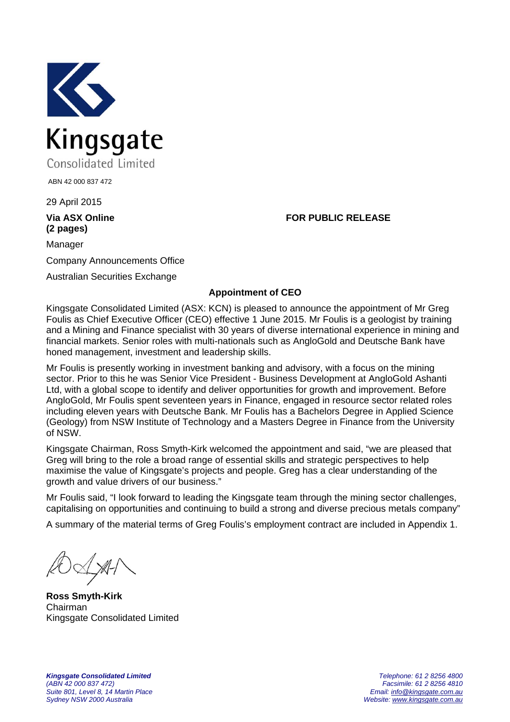

ABN 42 000 837 472

29 April 2015

## **(2 pages)**

**Via ASX Online FOR PUBLIC RELEASE** 

Manager Company Announcements Office

Australian Securities Exchange

## **Appointment of CEO**

Kingsgate Consolidated Limited (ASX: KCN) is pleased to announce the appointment of Mr Greg Foulis as Chief Executive Officer (CEO) effective 1 June 2015. Mr Foulis is a geologist by training and a Mining and Finance specialist with 30 years of diverse international experience in mining and financial markets. Senior roles with multi-nationals such as AngloGold and Deutsche Bank have honed management, investment and leadership skills.

Mr Foulis is presently working in investment banking and advisory, with a focus on the mining sector. Prior to this he was Senior Vice President - Business Development at AngloGold Ashanti Ltd, with a global scope to identify and deliver opportunities for growth and improvement. Before AngloGold, Mr Foulis spent seventeen years in Finance, engaged in resource sector related roles including eleven years with Deutsche Bank. Mr Foulis has a Bachelors Degree in Applied Science (Geology) from NSW Institute of Technology and a Masters Degree in Finance from the University of NSW.

Kingsgate Chairman, Ross Smyth-Kirk welcomed the appointment and said, "we are pleased that Greg will bring to the role a broad range of essential skills and strategic perspectives to help maximise the value of Kingsgate's projects and people. Greg has a clear understanding of the growth and value drivers of our business."

Mr Foulis said, "I look forward to leading the Kingsgate team through the mining sector challenges, capitalising on opportunities and continuing to build a strong and diverse precious metals company"

A summary of the material terms of Greg Foulis's employment contract are included in Appendix 1.

**Ross Smyth-Kirk** Chairman Kingsgate Consolidated Limited

*Kingsgate Consolidated Limited Telephone: 61 2 8256 4800 (ABN 42 000 837 472) Facsimile: 61 2 8256 4810 Sydney NSW 2000 Australia Website: www.kingsgate.com.au* 

*Suite 801, Level 8, 14 Martin Place Email: info@kingsgate.com.au*